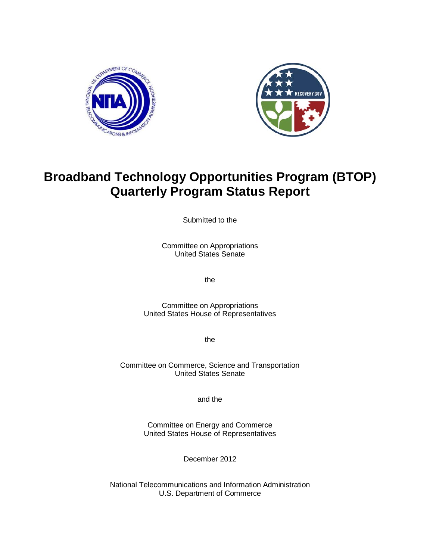



# **Broadband Technology Opportunities Program (BTOP) Quarterly Program Status Report**

Submitted to the

Committee on Appropriations United States Senate

the

Committee on Appropriations United States House of Representatives

the

Committee on Commerce, Science and Transportation United States Senate

and the

Committee on Energy and Commerce United States House of Representatives

December 2012

National Telecommunications and Information Administration U.S. Department of Commerce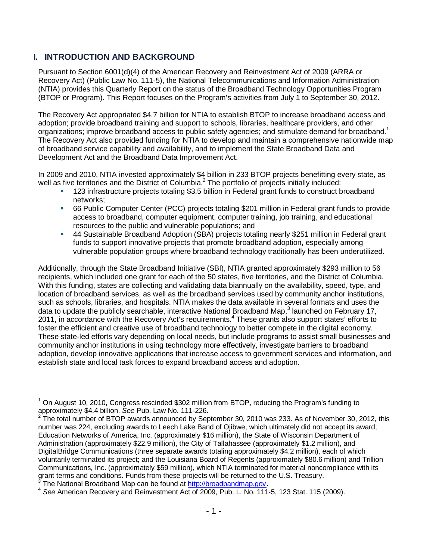# **I. INTRODUCTION AND BACKGROUND**

Pursuant to Section 6001(d)(4) of the American Recovery and Reinvestment Act of 2009 (ARRA or Recovery Act) (Public Law No. 111-5), the National Telecommunications and Information Administration (NTIA) provides this Quarterly Report on the status of the Broadband Technology Opportunities Program (BTOP or Program). This Report focuses on the Program's activities from July 1 to September 30, 2012.

The Recovery Act appropriated \$4.7 billion for NTIA to establish BTOP to increase broadband access and adoption; provide broadband training and support to schools, libraries, healthcare providers, and other organizations; improve broadband access to public safety agencies; and stimulate demand for broadband.<sup>1</sup> The Recovery Act also provided funding for NTIA to develop and maintain a comprehensive nationwide map of broadband service capability and availability, and to implement the State Broadband Data and Development Act and the Broadband Data Improvement Act.

In 2009 and 2010, NTIA invested approximately \$4 billion in 233 BTOP projects benefitting every state, as well as five territories and the District of Columbia.<sup>2</sup> The portfolio of projects initially included:

- 123 infrastructure projects totaling \$3.5 billion in Federal grant funds to construct broadband networks;
- 66 Public Computer Center (PCC) projects totaling \$201 million in Federal grant funds to provide access to broadband, computer equipment, computer training, job training, and educational resources to the public and vulnerable populations; and
- 44 Sustainable Broadband Adoption (SBA) projects totaling nearly \$251 million in Federal grant funds to support innovative projects that promote broadband adoption, especially among vulnerable population groups where broadband technology traditionally has been underutilized.

Additionally, through the State Broadband Initiative (SBI), NTIA granted approximately \$293 million to 56 recipients, which included one grant for each of the 50 states, five territories, and the District of Columbia. With this funding, states are collecting and validating data biannually on the availability, speed, type, and location of broadband services, as well as the broadband services used by community anchor institutions, such as schools, libraries, and hospitals. NTIA makes the data available in several formats and uses the data to update the publicly searchable, interactive National Broadband Map,<sup>3</sup> launched on February 17, 2011, in accordance with the Recovery Act's requirements.<sup>4</sup> These grants also support states' efforts to foster the efficient and creative use of broadband technology to better compete in the digital economy. These state-led efforts vary depending on local needs, but include programs to assist small businesses and community anchor institutions in using technology more effectively, investigate barriers to broadband adoption, develop innovative applications that increase access to government services and information, and establish state and local task forces to expand broadband access and adoption.

 $\overline{a}$ 

<sup>1</sup> On August 10, 2010, Congress rescinded \$302 million from BTOP, reducing the Program's funding to approximately \$4.4 billion. *See* Pub. Law No. 111-226.

<sup>2</sup> The total number of BTOP awards announced by September 30, 2010 was 233. As of November 30, 2012, this number was 224, excluding awards to Leech Lake Band of Ojibwe, which ultimately did not accept its award; Education Networks of America, Inc. (approximately \$16 million), the State of Wisconsin Department of Administration (approximately \$22.9 million), the City of Tallahassee (approximately \$1.2 million), and DigitalBridge Communications (three separate awards totaling approximately \$4.2 million), each of which voluntarily terminated its project; and the Louisiana Board of Regents (approximately \$80.6 million) and Trillion Communications, Inc. (approximately \$59 million), which NTIA terminated for material noncompliance with its grant terms and conditions. Funds from these projects will be returned to the U.S. Treasury.<br><sup>3</sup> The National Breadband Map can be found at http://breadbandmap.gov.

<sup>&</sup>lt;sup>3</sup> The National Broadband Map can be found at <u>http://broadbandmap.gov</u>.<br><sup>4</sup> See American Recovery and Reinvestment Act of 2009, Pub. L. No. 111-5, 123 Stat. 115 (2009).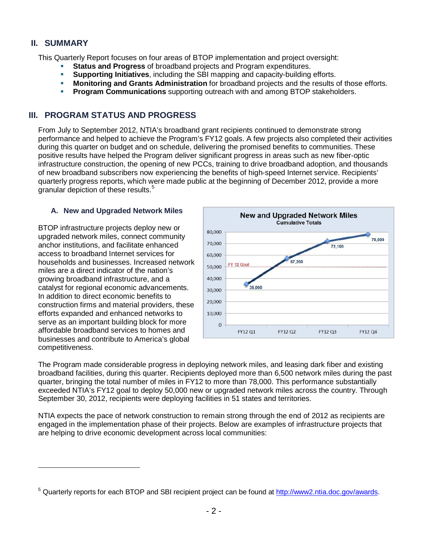## **II. SUMMARY**

 $\overline{a}$ 

This Quarterly Report focuses on four areas of BTOP implementation and project oversight:

- **Status and Progress** of broadband projects and Program expenditures.
- **Supporting Initiatives**, including the SBI mapping and capacity-building efforts.
- **Monitoring and Grants Administration** for broadband projects and the results of those efforts.
- **Program Communications** supporting outreach with and among BTOP stakeholders.

#### **III. PROGRAM STATUS AND PROGRESS**

From July to September 2012, NTIA's broadband grant recipients continued to demonstrate strong performance and helped to achieve the Program's FY12 goals. A few projects also completed their activities during this quarter on budget and on schedule, delivering the promised benefits to communities. These positive results have helped the Program deliver significant progress in areas such as new fiber-optic infrastructure construction, the opening of new PCCs, training to drive broadband adoption, and thousands of new broadband subscribers now experiencing the benefits of high-speed Internet service. Recipients' quarterly progress reports, which were made public at the beginning of December 2012, provide a more granular depiction of these results.<sup>5</sup>

#### **A. New and Upgraded Network Miles**

BTOP infrastructure projects deploy new or upgraded network miles, connect community anchor institutions, and facilitate enhanced access to broadband Internet services for households and businesses. Increased network miles are a direct indicator of the nation's growing broadband infrastructure, and a catalyst for regional economic advancements. In addition to direct economic benefits to construction firms and material providers, these efforts expanded and enhanced networks to serve as an important building block for more affordable broadband services to homes and businesses and contribute to America's global competitiveness.



The Program made considerable progress in deploying network miles, and leasing dark fiber and existing broadband facilities, during this quarter. Recipients deployed more than 6,500 network miles during the past quarter, bringing the total number of miles in FY12 to more than 78,000. This performance substantially exceeded NTIA's FY12 goal to deploy 50,000 new or upgraded network miles across the country. Through September 30, 2012, recipients were deploying facilities in 51 states and territories.

NTIA expects the pace of network construction to remain strong through the end of 2012 as recipients are engaged in the implementation phase of their projects. Below are examples of infrastructure projects that are helping to drive economic development across local communities:

<sup>&</sup>lt;sup>5</sup> Quarterly reports for each BTOP and SBI recipient project can be found at http://www2.ntia.doc.gov/awards.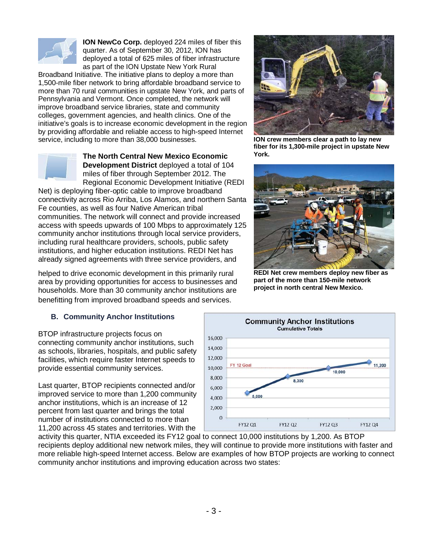

**ION NewCo Corp.** deployed 224 miles of fiber this quarter. As of September 30, 2012, ION has deployed a total of 625 miles of fiber infrastructure as part of the ION Upstate New York Rural

Broadband Initiative. The initiative plans to deploy a more than 1,500-mile fiber network to bring affordable broadband service to more than 70 rural communities in upstate New York, and parts of Pennsylvania and Vermont. Once completed, the network will improve broadband service libraries, state and community colleges, government agencies, and health clinics. One of the initiative's goals is to increase economic development in the region by providing affordable and reliable access to high-speed Internet service, including to more than 38,000 businesses.



**The North Central New Mexico Economic Development District** deployed a total of 104 miles of fiber through September 2012. The Regional Economic Development Initiative (REDI

Net) is deploying fiber-optic cable to improve broadband connectivity across Rio Arriba, Los Alamos, and northern Santa Fe counties, as well as four Native American tribal communities. The network will connect and provide increased access with speeds upwards of 100 Mbps to approximately 125 community anchor institutions through local service providers, including rural healthcare providers, schools, public safety institutions, and higher education institutions. REDI Net has already signed agreements with three service providers, and

helped to drive economic development in this primarily rural area by providing opportunities for access to businesses and households. More than 30 community anchor institutions are benefitting from improved broadband speeds and services.

#### **B. Community Anchor Institutions**

BTOP infrastructure projects focus on connecting community anchor institutions, such as schools, libraries, hospitals, and public safety facilities, which require faster Internet speeds to provide essential community services.

Last quarter, BTOP recipients connected and/or improved service to more than 1,200 community anchor institutions, which is an increase of 12 percent from last quarter and brings the total number of institutions connected to more than 11,200 across 45 states and territories. With the



**ION crew members clear a path to lay new fiber for its 1,300-mile project in upstate New York.** 



**REDI Net crew members deploy new fiber as part of the more than 150-mile network project in north central New Mexico.**



activity this quarter, NTIA exceeded its FY12 goal to connect 10,000 institutions by 1,200. As BTOP recipients deploy additional new network miles, they will continue to provide more institutions with faster and more reliable high-speed Internet access. Below are examples of how BTOP projects are working to connect community anchor institutions and improving education across two states: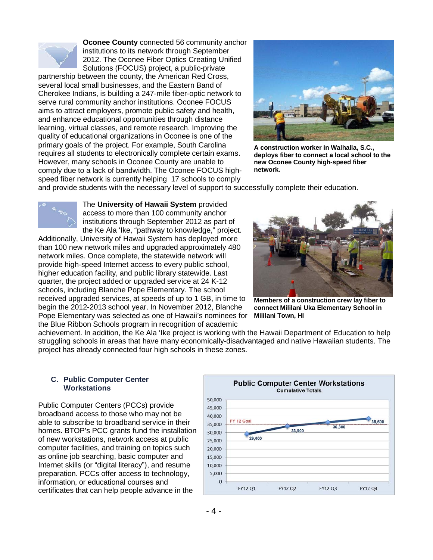

**Oconee County** connected 56 community anchor institutions to its network through September 2012. The Oconee Fiber Optics Creating Unified Solutions (FOCUS) project, a public-private

partnership between the county, the American Red Cross, several local small businesses, and the Eastern Band of Cherokee Indians, is building a 247-mile fiber-optic network to serve rural community anchor institutions. Oconee FOCUS aims to attract employers, promote public safety and health, and enhance educational opportunities through distance learning, virtual classes, and remote research. Improving the quality of educational organizations in Oconee is one of the primary goals of the project. For example, South Carolina requires all students to electronically complete certain exams. However, many schools in Oconee County are unable to comply due to a lack of bandwidth. The Oconee FOCUS highspeed fiber network is currently helping 17 schools to comply



**A construction worker in Walhalla, S.C., deploys fiber to connect a local school to the new Oconee County high-speed fiber network.** 

and provide students with the necessary level of support to successfully complete their education.



The **University of Hawaii System** provided access to more than 100 community anchor institutions through September 2012 as part of the Ke Ala 'Ike, "pathway to knowledge," project.

Additionally, University of Hawaii System has deployed more than 100 new network miles and upgraded approximately 480 network miles. Once complete, the statewide network will provide high-speed Internet access to every public school, higher education facility, and public library statewide. Last quarter, the project added or upgraded service at 24 K-12 schools, including Blanche Pope Elementary. The school received upgraded services, at speeds of up to 1 GB, in time to begin the 2012-2013 school year. In November 2012, Blanche Pope Elementary was selected as one of Hawaii's nominees for the Blue Ribbon Schools program in recognition of academic



**Members of a construction crew lay fiber to connect Mililani Uka Elementary School in Mililani Town, HI** 

achievement. In addition, the Ke Ala 'Ike project is working with the Hawaii Department of Education to help struggling schools in areas that have many economically-disadvantaged and native Hawaiian students. The project has already connected four high schools in these zones.

#### **C. Public Computer Center Workstations**

Public Computer Centers (PCCs) provide broadband access to those who may not be able to subscribe to broadband service in their homes. BTOP's PCC grants fund the installation of new workstations, network access at public computer facilities, and training on topics such as online job searching, basic computer and Internet skills (or "digital literacy"), and resume preparation. PCCs offer access to technology, information, or educational courses and certificates that can help people advance in the

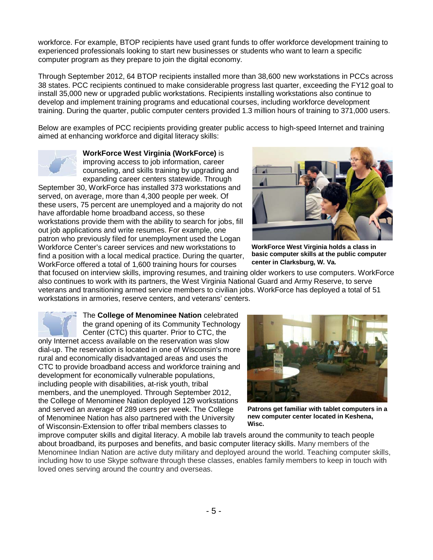workforce. For example, BTOP recipients have used grant funds to offer workforce development training to experienced professionals looking to start new businesses or students who want to learn a specific computer program as they prepare to join the digital economy.

Through September 2012, 64 BTOP recipients installed more than 38,600 new workstations in PCCs across 38 states. PCC recipients continued to make considerable progress last quarter, exceeding the FY12 goal to install 35,000 new or upgraded public workstations. Recipients installing workstations also continue to develop and implement training programs and educational courses, including workforce development training. During the quarter, public computer centers provided 1.3 million hours of training to 371,000 users.

Below are examples of PCC recipients providing greater public access to high-speed Internet and training aimed at enhancing workforce and digital literacy skills:



**WorkForce West Virginia (WorkForce)** is improving access to job information, career counseling, and skills training by upgrading and expanding career centers statewide. Through

September 30, WorkForce has installed 373 workstations and served, on average, more than 4,300 people per week. Of these users, 75 percent are unemployed and a majority do not have affordable home broadband access, so these workstations provide them with the ability to search for jobs, fill out job applications and write resumes. For example, one patron who previously filed for unemployment used the Logan Workforce Center's career services and new workstations to find a position with a local medical practice. During the quarter, WorkForce offered a total of 1,600 training hours for courses



**WorkForce West Virginia holds a class in basic computer skills at the public computer center in Clarksburg, W. Va.** 

that focused on interview skills, improving resumes, and training older workers to use computers. WorkForce also continues to work with its partners, the West Virginia National Guard and Army Reserve, to serve veterans and transitioning armed service members to civilian jobs. WorkForce has deployed a total of 51 workstations in armories, reserve centers, and veterans' centers.

The **College of Menominee Nation** celebrated the grand opening of its Community Technology Center (CTC) this quarter. Prior to CTC, the only Internet access available on the reservation was slow dial-up. The reservation is located in one of Wisconsin's more rural and economically disadvantaged areas and uses the CTC to provide broadband access and workforce training and development for economically vulnerable populations, including people with disabilities, at-risk youth, tribal members, and the unemployed. Through September 2012, the College of Menominee Nation deployed 129 workstations and served an average of 289 users per week. The College of Menominee Nation has also partnered with the University of Wisconsin-Extension to offer tribal members classes to



**Patrons get familiar with tablet computers in a new computer center located in Keshena, Wisc.**

improve computer skills and digital literacy. A mobile lab travels around the community to teach people about broadband, its purposes and benefits, and basic computer literacy skills. Many members of the Menominee Indian Nation are active duty military and deployed around the world. Teaching computer skills, including how to use Skype software through these classes, enables family members to keep in touch with loved ones serving around the country and overseas.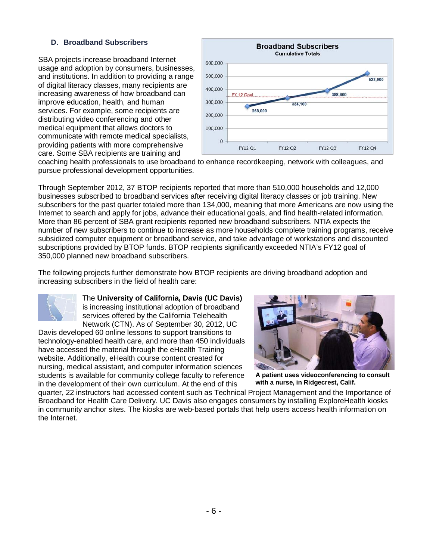#### **D. Broadband Subscribers**

SBA projects increase broadband Internet usage and adoption by consumers, businesses, and institutions. In addition to providing a range of digital literacy classes, many recipients are increasing awareness of how broadband can improve education, health, and human services. For example, some recipients are distributing video conferencing and other medical equipment that allows doctors to communicate with remote medical specialists, providing patients with more comprehensive care. Some SBA recipients are training and



coaching health professionals to use broadband to enhance recordkeeping, network with colleagues, and pursue professional development opportunities.

Through September 2012, 37 BTOP recipients reported that more than 510,000 households and 12,000 businesses subscribed to broadband services after receiving digital literacy classes or job training. New subscribers for the past quarter totaled more than 134,000, meaning that more Americans are now using the Internet to search and apply for jobs, advance their educational goals, and find health-related information. More than 86 percent of SBA grant recipients reported new broadband subscribers. NTIA expects the number of new subscribers to continue to increase as more households complete training programs, receive subsidized computer equipment or broadband service, and take advantage of workstations and discounted subscriptions provided by BTOP funds. BTOP recipients significantly exceeded NTIA's FY12 goal of 350,000 planned new broadband subscribers.

The following projects further demonstrate how BTOP recipients are driving broadband adoption and increasing subscribers in the field of health care:



#### The **University of California, Davis (UC Davis)** is increasing institutional adoption of broadband services offered by the California Telehealth Network (CTN). As of September 30, 2012, UC

Davis developed 60 online lessons to support transitions to technology-enabled health care, and more than 450 individuals have accessed the material through the eHealth Training website. Additionally, eHealth course content created for nursing, medical assistant, and computer information sciences students is available for community college faculty to reference in the development of their own curriculum. At the end of this



**A patient uses videoconferencing to consult with a nurse, in Ridgecrest, Calif.** 

quarter, 22 instructors had accessed content such as Technical Project Management and the Importance of Broadband for Health Care Delivery. UC Davis also engages consumers by installing ExploreHealth kiosks in community anchor sites. The kiosks are web-based portals that help users access health information on the Internet.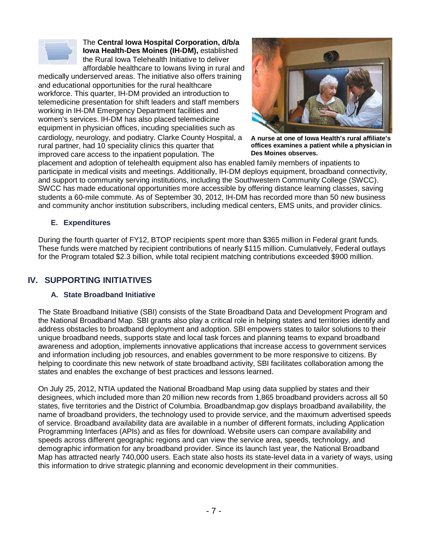

The **Central Iowa Hospital Corporation, d/b/a Iowa Health-Des Moines (IH-DM),** established the Rural Iowa Telehealth Initiative to deliver affordable healthcare to Iowans living in rural and

medically underserved areas. The initiative also offers training and educational opportunities for the rural healthcare workforce. This quarter, IH-DM provided an introduction to telemedicine presentation for shift leaders and staff members working in IH-DM Emergency Department facilities and women's services. IH-DM has also placed telemedicine equipment in physician offices, incuding specialities such as cardiology, neurology, and podiatry. Clarke County Hospital, a rural partner, had 10 speciality clinics this quarter that improved care access to the inpatient population. The



**A nurse at one of Iowa Health's rural affiliate's offices examines a patient while a physician in Des Moines observes.** 

placement and adoption of telehealth equipment also has enabled family members of inpatients to participate in medical visits and meetings. Additionally, IH-DM deploys equipment, broadband connectivity, and support to community serving institutions, including the Southwestern Community College (SWCC). SWCC has made educational opportunities more accessible by offering distance learning classes, saving students a 60-mile commute. As of September 30, 2012, IH-DM has recorded more than 50 new business and community anchor institution subscribers, including medical centers, EMS units, and provider clinics.

#### **E. Expenditures**

During the fourth quarter of FY12, BTOP recipients spent more than \$365 million in Federal grant funds. These funds were matched by recipient contributions of nearly \$115 million. Cumulatively, Federal outlays for the Program totaled \$2.3 billion, while total recipient matching contributions exceeded \$900 million.

# **IV. SUPPORTING INITIATIVES**

#### **A. State Broadband Initiative**

The State Broadband Initiative (SBI) consists of the State Broadband Data and Development Program and the National Broadband Map. SBI grants also play a critical role in helping states and territories identify and address obstacles to broadband deployment and adoption. SBI empowers states to tailor solutions to their unique broadband needs, supports state and local task forces and planning teams to expand broadband awareness and adoption, implements innovative applications that increase access to government services and information including job resources, and enables government to be more responsive to citizens. By helping to coordinate this new network of state broadband activity, SBI facilitates collaboration among the states and enables the exchange of best practices and lessons learned.

On July 25, 2012, NTIA updated the National Broadband Map using data supplied by states and their designees, which included more than 20 million new records from 1,865 broadband providers across all 50 states, five territories and the District of Columbia. Broadbandmap.gov displays broadband availability, the name of broadband providers, the technology used to provide service, and the maximum advertised speeds of service. Broadband availability data are available in a number of different formats, including Application Programming Interfaces (APIs) and as files for download. Website users can compare availability and speeds across different geographic regions and can view the service area, speeds, technology, and demographic information for any broadband provider. Since its launch last year, the National Broadband Map has attracted nearly 740,000 users. Each state also hosts its state-level data in a variety of ways, using this information to drive strategic planning and economic development in their communities.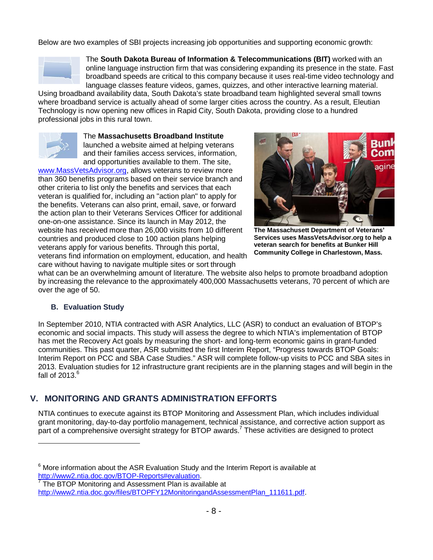Below are two examples of SBI projects increasing job opportunities and supporting economic growth:



The **South Dakota Bureau of Information & Telecommunications (BIT)** worked with an online language instruction firm that was considering expanding its presence in the state. Fast broadband speeds are critical to this company because it uses real-time video technology and language classes feature videos, games, quizzes, and other interactive learning material.

Using broadband availability data, South Dakota's state broadband team highlighted several small towns where broadband service is actually ahead of some larger cities across the country. As a result, Eleutian Technology is now opening new offices in Rapid City, South Dakota, providing close to a hundred professional jobs in this rural town.



The **Massachusetts Broadband Institute**

launched a website aimed at helping veterans and their families access services, information, and opportunities available to them. The site,

www.MassVetsAdvisor.org, allows veterans to review more than 360 benefits programs based on their service branch and other criteria to list only the benefits and services that each veteran is qualified for, including an "action plan" to apply for the benefits. Veterans can also print, email, save, or forward the action plan to their Veterans Services Officer for additional one-on-one assistance. Since its launch in May 2012, the website has received more than 26,000 visits from 10 different countries and produced close to 100 action plans helping veterans apply for various benefits. Through this portal, veterans find information on employment, education, and health care without having to navigate multiple sites or sort through



**The Massachusett Department of Veterans' Services uses MassVetsAdvisor.org to help a veteran search for benefits at Bunker Hill Community College in Charlestown, Mass.** 

what can be an overwhelming amount of literature. The website also helps to promote broadband adoption by increasing the relevance to the approximately 400,000 Massachusetts veterans, 70 percent of which are over the age of 50.

#### **B. Evaluation Study**

-

In September 2010, NTIA contracted with ASR Analytics, LLC (ASR) to conduct an evaluation of BTOP's economic and social impacts. This study will assess the degree to which NTIA's implementation of BTOP has met the Recovery Act goals by measuring the short- and long-term economic gains in grant-funded communities. This past quarter, ASR submitted the first Interim Report, "Progress towards BTOP Goals: Interim Report on PCC and SBA Case Studies." ASR will complete follow-up visits to PCC and SBA sites in 2013. Evaluation studies for 12 infrastructure grant recipients are in the planning stages and will begin in the fall of  $2013<sup>6</sup>$ 

# **V. MONITORING AND GRANTS ADMINISTRATION EFFORTS**

NTIA continues to execute against its BTOP Monitoring and Assessment Plan, which includes individual grant monitoring, day-to-day portfolio management, technical assistance, and corrective action support as part of a comprehensive oversight strategy for BTOP awards.<sup>7</sup> These activities are designed to protect

 $6$  More information about the ASR Evaluation Study and the Interim Report is available at http://www2.ntia.doc.gov/BTOP-Reports#evaluation. 7

The BTOP Monitoring and Assessment Plan is available at http://www2.ntia.doc.gov/files/BTOPFY12MonitoringandAssessmentPlan\_111611.pdf.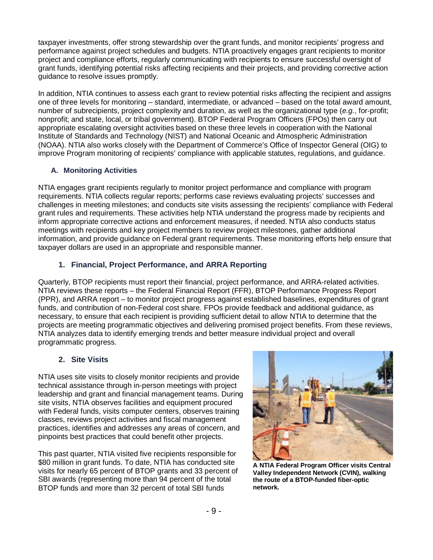taxpayer investments, offer strong stewardship over the grant funds, and monitor recipients' progress and performance against project schedules and budgets. NTIA proactively engages grant recipients to monitor project and compliance efforts, regularly communicating with recipients to ensure successful oversight of grant funds, identifying potential risks affecting recipients and their projects, and providing corrective action guidance to resolve issues promptly.

In addition, NTIA continues to assess each grant to review potential risks affecting the recipient and assigns one of three levels for monitoring – standard, intermediate, or advanced – based on the total award amount, number of subrecipients, project complexity and duration, as well as the organizational type (*e.g.*, for-profit; nonprofit; and state, local, or tribal government). BTOP Federal Program Officers (FPOs) then carry out appropriate escalating oversight activities based on these three levels in cooperation with the National Institute of Standards and Technology (NIST) and National Oceanic and Atmospheric Administration (NOAA). NTIA also works closely with the Department of Commerce's Office of Inspector General (OIG) to improve Program monitoring of recipients' compliance with applicable statutes, regulations, and guidance.

#### **A. Monitoring Activities**

NTIA engages grant recipients regularly to monitor project performance and compliance with program requirements. NTIA collects regular reports; performs case reviews evaluating projects' successes and challenges in meeting milestones; and conducts site visits assessing the recipients' compliance with Federal grant rules and requirements. These activities help NTIA understand the progress made by recipients and inform appropriate corrective actions and enforcement measures, if needed. NTIA also conducts status meetings with recipients and key project members to review project milestones, gather additional information, and provide guidance on Federal grant requirements. These monitoring efforts help ensure that taxpayer dollars are used in an appropriate and responsible manner.

#### **1. Financial, Project Performance, and ARRA Reporting**

Quarterly, BTOP recipients must report their financial, project performance, and ARRA-related activities. NTIA reviews these reports – the Federal Financial Report (FFR), BTOP Performance Progress Report (PPR), and ARRA report – to monitor project progress against established baselines, expenditures of grant funds, and contribution of non-Federal cost share. FPOs provide feedback and additional guidance, as necessary, to ensure that each recipient is providing sufficient detail to allow NTIA to determine that the projects are meeting programmatic objectives and delivering promised project benefits. From these reviews, NTIA analyzes data to identify emerging trends and better measure individual project and overall programmatic progress.

#### **2. Site Visits**

NTIA uses site visits to closely monitor recipients and provide technical assistance through in-person meetings with project leadership and grant and financial management teams. During site visits, NTIA observes facilities and equipment procured with Federal funds, visits computer centers, observes training classes, reviews project activities and fiscal management practices, identifies and addresses any areas of concern, and pinpoints best practices that could benefit other projects.

This past quarter, NTIA visited five recipients responsible for \$80 million in grant funds. To date, NTIA has conducted site visits for nearly 65 percent of BTOP grants and 33 percent of SBI awards (representing more than 94 percent of the total BTOP funds and more than 32 percent of total SBI funds



**A NTIA Federal Program Officer visits Central Valley Independent Network (CVIN), walking the route of a BTOP-funded fiber-optic network.**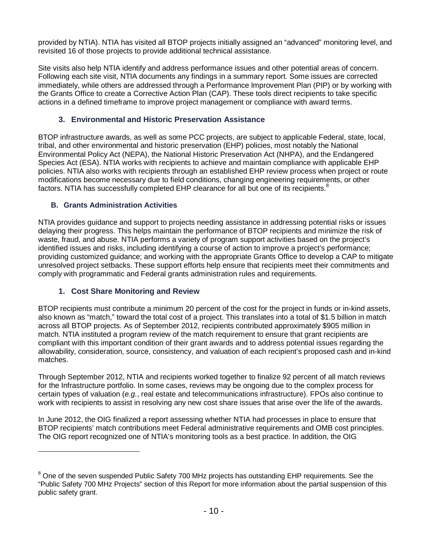provided by NTIA). NTIA has visited all BTOP projects initially assigned an "advanced" monitoring level, and revisited 16 of those projects to provide additional technical assistance.

Site visits also help NTIA identify and address performance issues and other potential areas of concern. Following each site visit, NTIA documents any findings in a summary report. Some issues are corrected immediately, while others are addressed through a Performance Improvement Plan (PIP) or by working with the Grants Office to create a Corrective Action Plan (CAP). These tools direct recipients to take specific actions in a defined timeframe to improve project management or compliance with award terms.

## **3. Environmental and Historic Preservation Assistance**

BTOP infrastructure awards, as well as some PCC projects, are subject to applicable Federal, state, local, tribal, and other environmental and historic preservation (EHP) policies, most notably the National Environmental Policy Act (NEPA), the National Historic Preservation Act (NHPA), and the Endangered Species Act (ESA). NTIA works with recipients to achieve and maintain compliance with applicable EHP policies. NTIA also works with recipients through an established EHP review process when project or route modifications become necessary due to field conditions, changing engineering requirements, or other factors. NTIA has successfully completed EHP clearance for all but one of its recipients.<sup>8</sup>

#### **B. Grants Administration Activities**

NTIA provides guidance and support to projects needing assistance in addressing potential risks or issues delaying their progress. This helps maintain the performance of BTOP recipients and minimize the risk of waste, fraud, and abuse. NTIA performs a variety of program support activities based on the project's identified issues and risks, including identifying a course of action to improve a project's performance; providing customized guidance; and working with the appropriate Grants Office to develop a CAP to mitigate unresolved project setbacks. These support efforts help ensure that recipients meet their commitments and comply with programmatic and Federal grants administration rules and requirements.

## **1. Cost Share Monitoring and Review**

l

BTOP recipients must contribute a minimum 20 percent of the cost for the project in funds or in-kind assets, also known as "match," toward the total cost of a project. This translates into a total of \$1.5 billion in match across all BTOP projects. As of September 2012, recipients contributed approximately \$905 million in match. NTIA instituted a program review of the match requirement to ensure that grant recipients are compliant with this important condition of their grant awards and to address potential issues regarding the allowability, consideration, source, consistency, and valuation of each recipient's proposed cash and in-kind matches.

Through September 2012, NTIA and recipients worked together to finalize 92 percent of all match reviews for the Infrastructure portfolio. In some cases, reviews may be ongoing due to the complex process for certain types of valuation (*e.g.*, real estate and telecommunications infrastructure). FPOs also continue to work with recipients to assist in resolving any new cost share issues that arise over the life of the awards.

In June 2012, the OIG finalized a report assessing whether NTIA had processes in place to ensure that BTOP recipients' match contributions meet Federal administrative requirements and OMB cost principles. The OIG report recognized one of NTIA's monitoring tools as a best practice. In addition, the OIG

 $8$  One of the seven suspended Public Safety 700 MHz projects has outstanding EHP requirements. See the "Public Safety 700 MHz Projects" section of this Report for more information about the partial suspension of this public safety grant.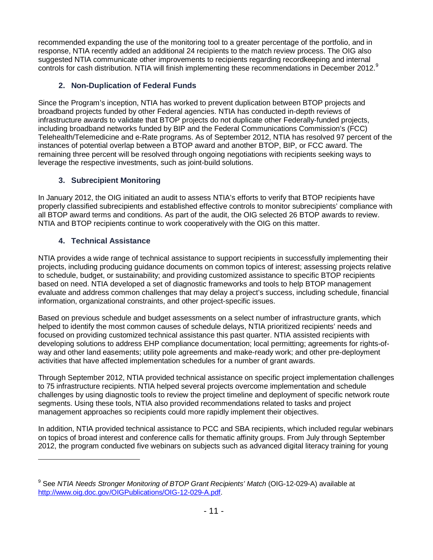recommended expanding the use of the monitoring tool to a greater percentage of the portfolio, and in response, NTIA recently added an additional 24 recipients to the match review process. The OIG also suggested NTIA communicate other improvements to recipients regarding recordkeeping and internal controls for cash distribution. NTIA will finish implementing these recommendations in December 2012.<sup>9</sup>

## **2. Non-Duplication of Federal Funds**

Since the Program's inception, NTIA has worked to prevent duplication between BTOP projects and broadband projects funded by other Federal agencies. NTIA has conducted in-depth reviews of infrastructure awards to validate that BTOP projects do not duplicate other Federally-funded projects, including broadband networks funded by BIP and the Federal Communications Commission's (FCC) Telehealth/Telemedicine and e-Rate programs. As of September 2012, NTIA has resolved 97 percent of the instances of potential overlap between a BTOP award and another BTOP, BIP, or FCC award. The remaining three percent will be resolved through ongoing negotiations with recipients seeking ways to leverage the respective investments, such as joint-build solutions.

# **3. Subrecipient Monitoring**

In January 2012, the OIG initiated an audit to assess NTIA's efforts to verify that BTOP recipients have properly classified subrecipients and established effective controls to monitor subrecipients' compliance with all BTOP award terms and conditions. As part of the audit, the OIG selected 26 BTOP awards to review. NTIA and BTOP recipients continue to work cooperatively with the OIG on this matter.

# **4. Technical Assistance**

 $\overline{a}$ 

NTIA provides a wide range of technical assistance to support recipients in successfully implementing their projects, including producing guidance documents on common topics of interest; assessing projects relative to schedule, budget, or sustainability; and providing customized assistance to specific BTOP recipients based on need. NTIA developed a set of diagnostic frameworks and tools to help BTOP management evaluate and address common challenges that may delay a project's success, including schedule, financial information, organizational constraints, and other project-specific issues.

Based on previous schedule and budget assessments on a select number of infrastructure grants, which helped to identify the most common causes of schedule delays, NTIA prioritized recipients' needs and focused on providing customized technical assistance this past quarter. NTIA assisted recipients with developing solutions to address EHP compliance documentation; local permitting; agreements for rights-ofway and other land easements; utility pole agreements and make-ready work; and other pre-deployment activities that have affected implementation schedules for a number of grant awards.

Through September 2012, NTIA provided technical assistance on specific project implementation challenges to 75 infrastructure recipients. NTIA helped several projects overcome implementation and schedule challenges by using diagnostic tools to review the project timeline and deployment of specific network route segments. Using these tools, NTIA also provided recommendations related to tasks and project management approaches so recipients could more rapidly implement their objectives.

In addition, NTIA provided technical assistance to PCC and SBA recipients, which included regular webinars on topics of broad interest and conference calls for thematic affinity groups. From July through September 2012, the program conducted five webinars on subjects such as advanced digital literacy training for young

<sup>&</sup>lt;sup>9</sup> See NTIA Needs Stronger Monitoring of BTOP Grant Recipients' Match (OIG-12-029-A) available at http://www.oig.doc.gov/OIGPublications/OIG-12-029-A.pdf.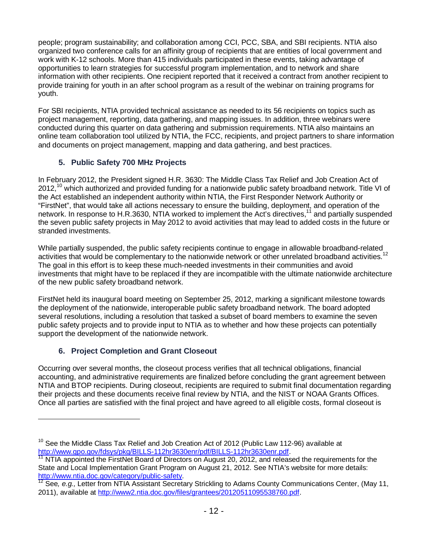people; program sustainability; and collaboration among CCI, PCC, SBA, and SBI recipients. NTIA also organized two conference calls for an affinity group of recipients that are entities of local government and work with K-12 schools. More than 415 individuals participated in these events, taking advantage of opportunities to learn strategies for successful program implementation, and to network and share information with other recipients. One recipient reported that it received a contract from another recipient to provide training for youth in an after school program as a result of the webinar on training programs for youth.

For SBI recipients, NTIA provided technical assistance as needed to its 56 recipients on topics such as project management, reporting, data gathering, and mapping issues. In addition, three webinars were conducted during this quarter on data gathering and submission requirements. NTIA also maintains an online team collaboration tool utilized by NTIA, the FCC, recipients, and project partners to share information and documents on project management, mapping and data gathering, and best practices.

## **5. Public Safety 700 MHz Projects**

In February 2012, the President signed H.R. 3630: The Middle Class Tax Relief and Job Creation Act of 2012.<sup>10</sup> which authorized and provided funding for a nationwide public safety broadband network. Title VI of the Act established an independent authority within NTIA, the First Responder Network Authority or "FirstNet", that would take all actions necessary to ensure the building, deployment, and operation of the network. In response to H.R.3630, NTIA worked to implement the Act's directives,<sup>11</sup> and partially suspended the seven public safety projects in May 2012 to avoid activities that may lead to added costs in the future or stranded investments.

While partially suspended, the public safety recipients continue to engage in allowable broadband-related activities that would be complementary to the nationwide network or other unrelated broadband activities.<sup>12</sup> The goal in this effort is to keep these much-needed investments in their communities and avoid investments that might have to be replaced if they are incompatible with the ultimate nationwide architecture of the new public safety broadband network.

FirstNet held its inaugural board meeting on September 25, 2012, marking a significant milestone towards the deployment of the nationwide, interoperable public safety broadband network. The board adopted several resolutions, including a resolution that tasked a subset of board members to examine the seven public safety projects and to provide input to NTIA as to whether and how these projects can potentially support the development of the nationwide network.

## **6. Project Completion and Grant Closeout**

 $\overline{a}$ 

Occurring over several months, the closeout process verifies that all technical obligations, financial accounting, and administrative requirements are finalized before concluding the grant agreement between NTIA and BTOP recipients. During closeout, recipients are required to submit final documentation regarding their projects and these documents receive final review by NTIA, and the NIST or NOAA Grants Offices. Once all parties are satisfied with the final project and have agreed to all eligible costs, formal closeout is

<sup>&</sup>lt;sup>10</sup> See the Middle Class Tax Relief and Job Creation Act of 2012 (Public Law 112-96) available at http://www.qpo.qov/fdsys/pkq/BILLS-112hr3630enr/pdf/BILLS-112hr3630enr.pdf.

<sup>&</sup>lt;sup>11</sup> NTIA appointed the FirstNet Board of Directors on August 20, 2012, and released the requirements for the State and Local Implementation Grant Program on August 21, 2012. See NTIA's website for more details: http://www.ntia.doc.gov/category/public-safety.<br><sup>12</sup> See, e.g., Letter from NTIA Assistant Secretary Strickling to Adams County Communications Center, (May 11,

<sup>2011),</sup> available at http://www2.ntia.doc.gov/files/grantees/20120511095538760.pdf.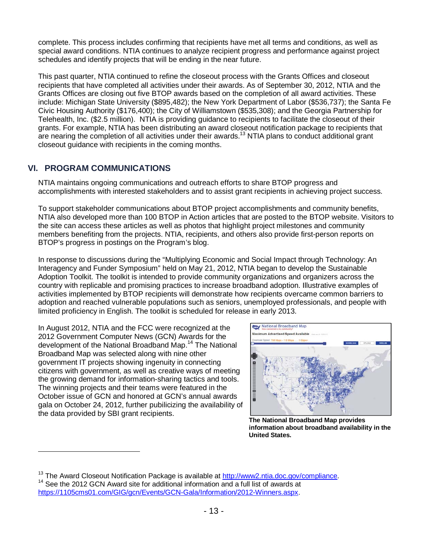complete. This process includes confirming that recipients have met all terms and conditions, as well as special award conditions. NTIA continues to analyze recipient progress and performance against project schedules and identify projects that will be ending in the near future.

This past quarter, NTIA continued to refine the closeout process with the Grants Offices and closeout recipients that have completed all activities under their awards. As of September 30, 2012, NTIA and the Grants Offices are closing out five BTOP awards based on the completion of all award activities. These include: Michigan State University (\$895,482); the New York Department of Labor (\$536,737); the Santa Fe Civic Housing Authority (\$176,400); the City of Williamstown (\$535,308); and the Georgia Partnership for Telehealth, Inc. (\$2.5 million). NTIA is providing guidance to recipients to facilitate the closeout of their grants. For example, NTIA has been distributing an award closeout notification package to recipients that are nearing the completion of all activities under their awards.<sup>13</sup> NTIA plans to conduct additional grant closeout guidance with recipients in the coming months.

## **VI. PROGRAM COMMUNICATIONS**

l

NTIA maintains ongoing communications and outreach efforts to share BTOP progress and accomplishments with interested stakeholders and to assist grant recipients in achieving project success.

To support stakeholder communications about BTOP project accomplishments and community benefits, NTIA also developed more than 100 BTOP in Action articles that are posted to the BTOP website. Visitors to the site can access these articles as well as photos that highlight project milestones and community members benefiting from the projects. NTIA, recipients, and others also provide first-person reports on BTOP's progress in postings on the Program's blog.

In response to discussions during the "Multiplying Economic and Social Impact through Technology: An Interagency and Funder Symposium" held on May 21, 2012, NTIA began to develop the Sustainable Adoption Toolkit. The toolkit is intended to provide community organizations and organizers across the country with replicable and promising practices to increase broadband adoption. Illustrative examples of activities implemented by BTOP recipients will demonstrate how recipients overcame common barriers to adoption and reached vulnerable populations such as seniors, unemployed professionals, and people with limited proficiency in English. The toolkit is scheduled for release in early 2013.

In August 2012, NTIA and the FCC were recognized at the 2012 Government Computer News (GCN) Awards for the development of the National Broadband Map.<sup>14</sup> The National Broadband Map was selected along with nine other government IT projects showing ingenuity in connecting citizens with government, as well as creative ways of meeting the growing demand for information-sharing tactics and tools. The winning projects and their teams were featured in the October issue of GCN and honored at GCN's annual awards gala on October 24, 2012, further pubilicizing the availability of the data provided by SBI grant recipients.



**The National Broadband Map provides information about broadband availability in the United States.** 

<sup>&</sup>lt;sup>13</sup> The Award Closeout Notification Package is available at  $\frac{http://www2.ntia.doc.gov/compliance.}$ <sup>14</sup> See the 2012 GCN Award site for additional information and a full list of awards at

https://1105cms01.com/GIG/gcn/Events/GCN-Gala/Information/2012-Winners.aspx.